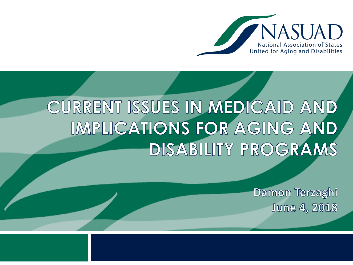

# CURRENT ISSUES IN MEDICAID AND IMPLICATIONS FOR AGING AND DISABILITY PROGRAMS

Damon Terzaghi **June 4, 2018**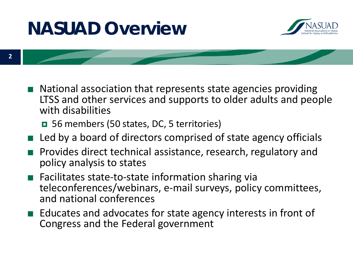#### **NASUAD Overview**



- National association that represents state agencies providing LTSS and other services and supports to older adults and people with disabilities
	- 56 members (50 states, DC, 5 territories)
- Led by a board of directors comprised of state agency officials
- Provides direct technical assistance, research, regulatory and policy analysis to states
- Facilitates state-to-state information sharing via teleconferences/webinars, e-mail surveys, policy committees, and national conferences
- Educates and advocates for state agency interests in front of Congress and the Federal government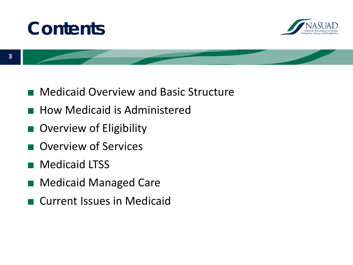



- Medicaid Overview and Basic Structure
- How Medicaid is Administered
- Overview of Eligibility
- Overview of Services
- Medicaid LTSS
- Medicaid Managed Care
- Current Issues in Medicaid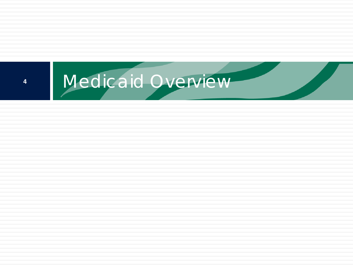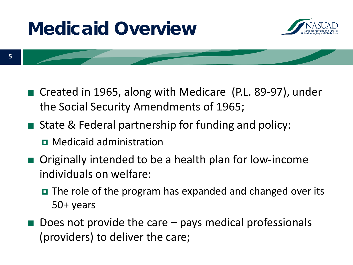## **Medicaid Overview**



- Created in 1965, along with Medicare (P.L. 89-97), under the Social Security Amendments of 1965;
- State & Federal partnership for funding and policy:
	- **D** Medicaid administration
- Originally intended to be a health plan for low-income individuals on welfare:
	- The role of the program has expanded and changed over its 50+ years
- Does not provide the care pays medical professionals (providers) to deliver the care;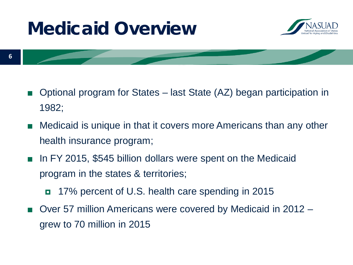#### **Medicaid Overview**





- Optional program for States last State (AZ) began participation in 1982;
- Medicaid is unique in that it covers more Americans than any other health insurance program;
- In FY 2015, \$545 billion dollars were spent on the Medicaid program in the states & territories;
	- 17% percent of U.S. health care spending in 2015
- Over 57 million Americans were covered by Medicaid in 2012 grew to 70 million in 2015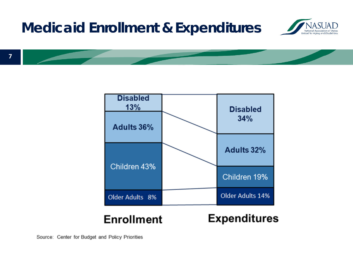#### **Medicaid Enrollment & Expenditures**







Source: Center for Budget and Policy Priorities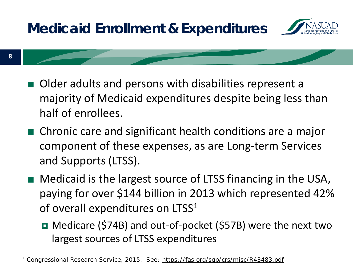

■ Older adults and persons with disabilities represent a majority of Medicaid expenditures despite being less than half of enrollees.

**8**

- Chronic care and significant health conditions are a major component of these expenses, as are Long-term Services and Supports (LTSS).
- Medicaid is the largest source of LTSS financing in the USA, paying for over \$144 billion in 2013 which represented 42% of overall expenditures on LTSS<sup>1</sup>
	- Medicare (\$74B) and out-of-pocket (\$57B) were the next two largest sources of LTSS expenditures

<sup>1</sup> Congressional Research Service, 2015. See: <https://fas.org/sgp/crs/misc/R43483.pdf>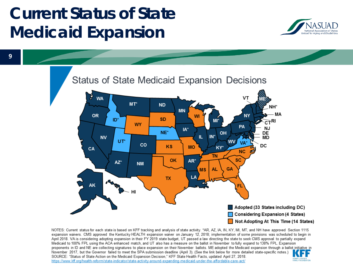#### **Current Status of State Medicaid Expansion**





NOTES: Current status for each state is based on KFF tracking and analysis of state activity. \*AR, AZ, IA, IN, KY, MI, MT, and NH have approved Section 1115 expansion waivers. CMS approved the Kentucky HEALTH expansion waiver on January 12, 2018; implementation of some provisions was scheduled to begin in April 2018. VA is considering adopting expansion in their FY 2019 state budget, UT passed a law directing the state to seek CMS approval to partially expand Medicaid to 100% FPL using the ACA enhanced match, and UT also has a measure on the ballot in November to fully expand to 138% FPL. Expansion proponents in ID and NE are collecting signatures to place expansion on their November ballots. ME adopted the Medicaid expansion through a ballot initiative in November 2017, but the Governor failed to meet the SPA submission deadline (April 3). (See the link below for more detailed state-specific notes.) SOURCE: "Status of State Action on the Medicaid Expansion Decision," KFF State Health Facts, updated April 27, 2018. https://www.kff.org/health-reform/state-indicator/state-activity-around-expanding-medicaid-under-the-affordable-care-act/

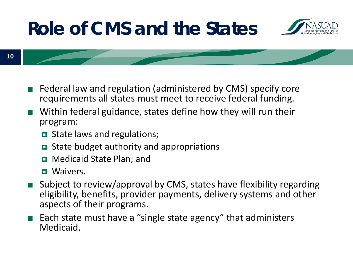### **Role of CMS and the States**



**10**

- Federal law and regulation (administered by CMS) specify core requirements all states must meet to receive federal funding.
- Within federal guidance, states define how they will run their program:
	- **D** State laws and regulations;
	- State budget authority and appropriations
	- **D** Medicaid State Plan; and
	- **D** Waivers.
- Subject to review/approval by CMS, states have flexibility regarding eligibility, benefits, provider payments, delivery systems and other aspects of their programs.
- Each state must have a "single state agency" that administers Medicaid.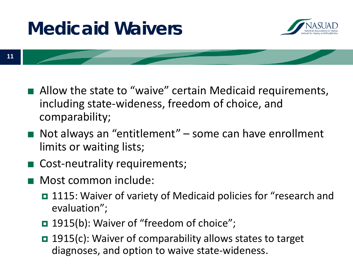## **Medicaid Waivers**



- Allow the state to "waive" certain Medicaid requirements, including state-wideness, freedom of choice, and comparability;
- Not always an "entitlement" some can have enrollment limits or waiting lists;
- Cost-neutrality requirements;
- Most common include:
	- 1115: Waiver of variety of Medicaid policies for "research and evaluation";
	- 1915(b): Waiver of "freedom of choice";
	- 1915(c): Waiver of comparability allows states to target diagnoses, and option to waive state-wideness.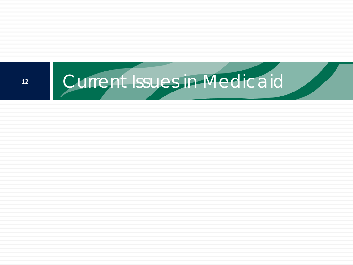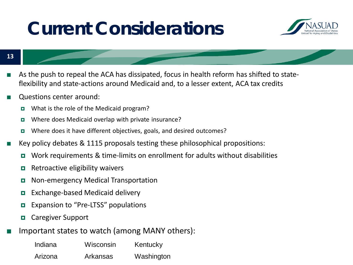#### **Current Considerations**



**13**

- As the push to repeal the ACA has dissipated, focus in health reform has shifted to stateflexibility and state-actions around Medicaid and, to a lesser extent, ACA tax credits
- Questions center around:
	- **u** What is the role of the Medicaid program?
	- **u** Where does Medicaid overlap with private insurance?
	- Where does it have different objectives, goals, and desired outcomes?
- Key policy debates  $\&$  1115 proposals testing these philosophical propositions:
	- Work requirements & time-limits on enrollment for adults without disabilities
	- **Retroactive eligibility waivers**
	- **D** Non-emergency Medical Transportation
	- **Exchange-based Medicaid delivery**
	- **EXPANSION TO "Pre-LTSS" populations**
	- **Q** Caregiver Support
- Important states to watch (among MANY others):

| Indiana | Wisconsin | Kentucky   |
|---------|-----------|------------|
| Arizona | Arkansas  | Washington |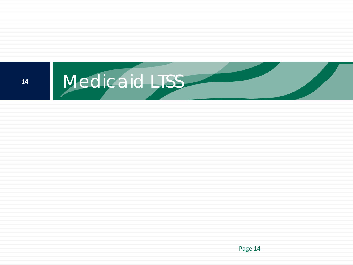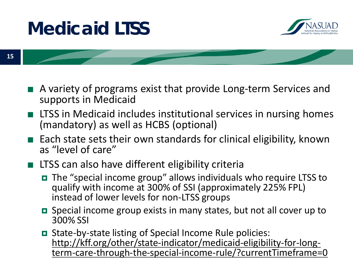#### **Medicaid LTSS**





- A variety of programs exist that provide Long-term Services and supports in Medicaid
- LTSS in Medicaid includes institutional services in nursing homes (mandatory) as well as HCBS (optional)
- Each state sets their own standards for clinical eligibility, known as "level of care"

#### LTSS can also have different eligibility criteria

- The "special income group" allows individuals who require LTSS to qualify with income at 300% of SSI (approximately 225% FPL) instead of lower levels for non-LTSS groups
- Special income group exists in many states, but not all cover up to 300% SSI
- **■** State-by-state listing of Special Income Rule policies:<br>http://kff.org/other/state-indicator/medicaid-eligibility-for-longterm-care-through-the-special-income-rule/?currentTimeframe=0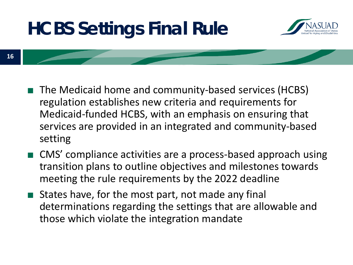## **HCBS Settings Final Rule**



- The Medicaid home and community-based services (HCBS) regulation establishes new criteria and requirements for Medicaid-funded HCBS, with an emphasis on ensuring that services are provided in an integrated and community-based setting
- CMS' compliance activities are a process-based approach using transition plans to outline objectives and milestones towards meeting the rule requirements by the 2022 deadline
- States have, for the most part, not made any final determinations regarding the settings that are allowable and those which violate the integration mandate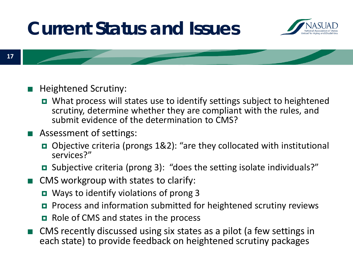#### **Current Status and Issues**





- Heightened Scrutiny:
	- What process will states use to identify settings subject to heightened scrutiny, determine whether they are compliant with the rules, and submit evidence of the determination to CMS?
- Assessment of settings:
	- Objective criteria (prongs 1&2): "are they collocated with institutional services?"
	- Subjective criteria (prong 3): "does the setting isolate individuals?"
- CMS workgroup with states to clarify:
	- Ways to identify violations of prong 3
	- **P** Process and information submitted for heightened scrutiny reviews
	- $\Box$  Role of CMS and states in the process
- CMS recently discussed using six states as a pilot (a few settings in each state) to provide feedback on heightened scrutiny packages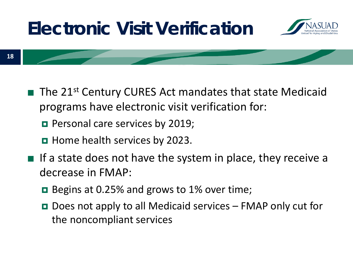## **Electronic Visit Verification**



- The 21<sup>st</sup> Century CURES Act mandates that state Medicaid programs have electronic visit verification for:
	- **Personal care services by 2019;**
	- **Home health services by 2023.**
- If a state does not have the system in place, they receive a decrease in FMAP:
	- **□** Begins at 0.25% and grows to 1% over time;
	- $\Box$  Does not apply to all Medicaid services FMAP only cut for the noncompliant services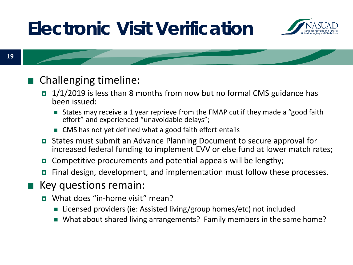## **Electronic Visit Verification**





#### ■ Challenging timeline:

- $\Box$  1/1/2019 is less than 8 months from now but no formal CMS guidance has been issued:
	- States may receive a 1 year reprieve from the FMAP cut if they made a "good faith effort" and experienced "unavoidable delays";
	- CMS has not yet defined what a good faith effort entails
- States must submit an Advance Planning Document to secure approval for increased federal funding to implement EVV or else fund at lower match rates;
- **O** Competitive procurements and potential appeals will be lengthy;
- Final design, development, and implementation must follow these processes.
- Key questions remain:
	- What does "in-home visit" mean?
		- Licensed providers (ie: Assisted living/group homes/etc) not included
		- What about shared living arrangements? Family members in the same home?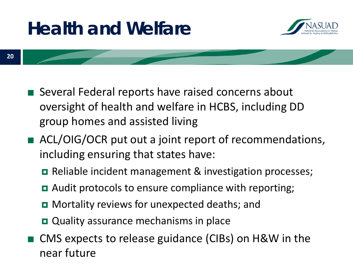## **Health and Welfare**



- Several Federal reports have raised concerns about oversight of health and welfare in HCBS, including DD group homes and assisted living
- ACL/OIG/OCR put out a joint report of recommendations, including ensuring that states have:
	- **□** Reliable incident management & investigation processes;
	- **□** Audit protocols to ensure compliance with reporting;
	- **O** Mortality reviews for unexpected deaths; and
	- Quality assurance mechanisms in place
- CMS expects to release guidance (CIBs) on H&W in the near future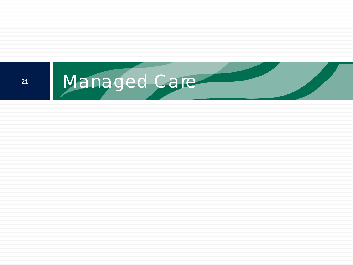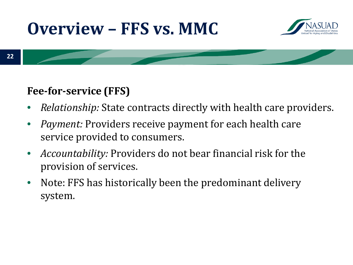#### **Overview – FFS vs. MMC**





#### **Fee-for-service (FFS)**

- *Relationship:* State contracts directly with health care providers.
- *Payment:* Providers receive payment for each health care service provided to consumers.
- *Accountability:* Providers do not bear financial risk for the provision of services.
- Note: FFS has historically been the predominant delivery system.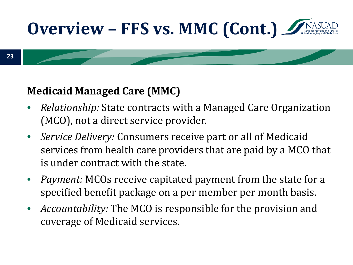

#### **23**

#### **Medicaid Managed Care (MMC)**

- *Relationship:* State contracts with a Managed Care Organization (MCO), not a direct service provider.
- *Service Delivery:* Consumers receive part or all of Medicaid services from health care providers that are paid by a MCO that is under contract with the state.
- *Payment:* MCOs receive capitated payment from the state for a specified benefit package on a per member per month basis.
- *Accountability:* The MCO is responsible for the provision and coverage of Medicaid services.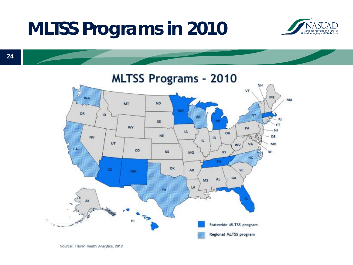#### **MLTSS Programs in 2010**





Source: Truven Health Analytics, 2012

**24**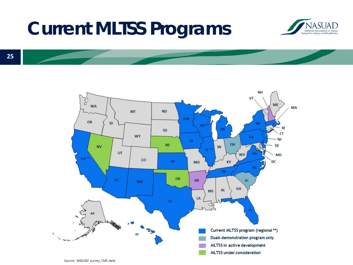#### **Current MLTSS Programs**





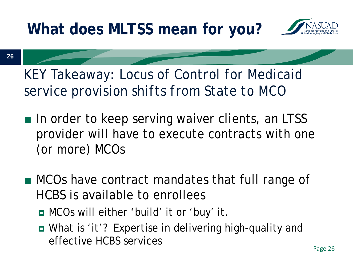**What does MLTSS mean for you?**



**26**

*KEY Takeaway: Locus of Control for Medicaid service provision shifts from State to MCO*

- In order to keep serving waiver clients, an LTSS provider will have to execute contracts with one (or more) MCOs
- MCOs have contract mandates that full range of HCBS is available to enrollees
	- MCOs will either 'build' it or 'buy' it.
	- What is 'it'? Expertise in delivering high-quality and effective HCBS services